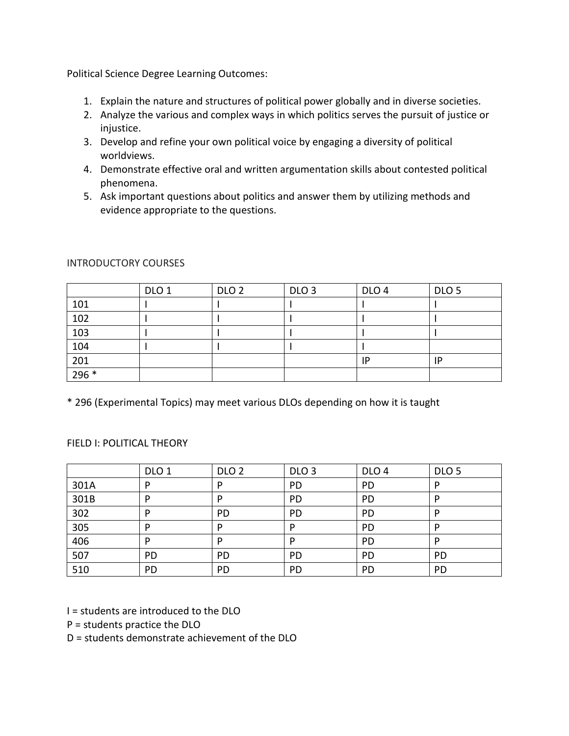Political Science Degree Learning Outcomes:

- 1. Explain the nature and structures of political power globally and in diverse societies.
- 2. Analyze the various and complex ways in which politics serves the pursuit of justice or injustice.
- 3. Develop and refine your own political voice by engaging a diversity of political worldviews.
- 4. Demonstrate effective oral and written argumentation skills about contested political phenomena.
- 5. Ask important questions about politics and answer them by utilizing methods and evidence appropriate to the questions.

|                  | DLO <sub>1</sub> | DLO <sub>2</sub> | DLO <sub>3</sub> | DLO <sub>4</sub> | DLO <sub>5</sub> |
|------------------|------------------|------------------|------------------|------------------|------------------|
| 101              |                  |                  |                  |                  |                  |
| 102              |                  |                  |                  |                  |                  |
| 103              |                  |                  |                  |                  |                  |
| 104              |                  |                  |                  |                  |                  |
| $\overline{201}$ |                  |                  |                  | IP               | IP               |
| $296*$           |                  |                  |                  |                  |                  |

### INTRODUCTORY COURSES

\* 296 (Experimental Topics) may meet various DLOs depending on how it is taught

## FIELD I: POLITICAL THEORY

|      | DLO <sub>1</sub> | DLO <sub>2</sub> | DLO <sub>3</sub> | DLO <sub>4</sub> | DLO <sub>5</sub> |
|------|------------------|------------------|------------------|------------------|------------------|
| 301A | D                | D                | PD               | PD               | D                |
| 301B | D                | D                | <b>PD</b>        | PD               |                  |
| 302  | D                | <b>PD</b>        | PD               | PD               | D                |
| 305  | D                | D                | D                | PD               | D                |
| 406  | D                | D                | D                | PD               | D                |
| 507  | PD               | <b>PD</b>        | PD               | PD               | PD               |
| 510  | PD               | PD               | PD               | PD               | PD               |

I = students are introduced to the DLO

P = students practice the DLO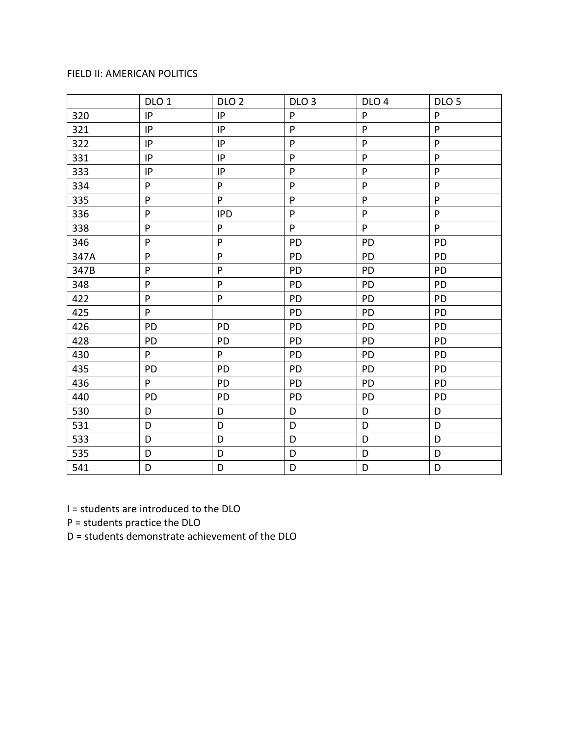### FIELD II: AMERICAN POLITICS

|      | DLO <sub>1</sub> | DLO <sub>2</sub> | DLO <sub>3</sub> | DLO <sub>4</sub> | DLO <sub>5</sub>          |
|------|------------------|------------------|------------------|------------------|---------------------------|
| 320  | IP               | IP               | P                | ${\sf P}$        | ${\sf P}$                 |
| 321  | IP               | IP               | P                | ${\sf P}$        | ${\sf P}$                 |
| 322  | IP               | IP               | P                | ${\sf P}$        | ${\sf P}$                 |
| 331  | IP               | IP               | P                | $\mathsf{P}$     | $\sf P$                   |
| 333  | IP               | IP               | P                | $\mathsf{P}$     | ${\sf P}$                 |
| 334  | P                | P                | P                | ${\sf P}$        | ${\sf P}$                 |
| 335  | ${\sf P}$        | P                | P                | $\mathsf{P}$     | $\boldsymbol{\mathsf{P}}$ |
| 336  | P                | <b>IPD</b>       | P                | ${\sf P}$        | P                         |
| 338  | P                | P                | P                | ${\sf P}$        | P                         |
| 346  | P                | P                | PD               | PD               | PD                        |
| 347A | P                | P                | PD               | PD               | <b>PD</b>                 |
| 347B | P                | P                | PD               | PD               | PD                        |
| 348  | P                | P                | PD               | PD               | PD                        |
| 422  | P                | P                | PD               | PD               | PD                        |
| 425  | P                |                  | PD               | PD               | PD                        |
| 426  | PD               | PD               | PD               | PD               | PD                        |
| 428  | PD               | PD               | PD               | PD               | PD                        |
| 430  | P                | P                | PD               | PD               | <b>PD</b>                 |
| 435  | PD               | PD               | PD               | PD               | PD                        |
| 436  | P                | PD               | PD               | PD               | PD                        |
| 440  | PD               | PD               | PD               | PD               | PD                        |
| 530  | D                | D                | D                | D                | D                         |
| 531  | D                | D                | D                | D                | D                         |
| 533  | D                | D                | D                | D                | D                         |
| 535  | D                | D                | D                | D                | D                         |
| 541  | D                | D                | D                | D                | D                         |

I = students are introduced to the DLO

P = students practice the DLO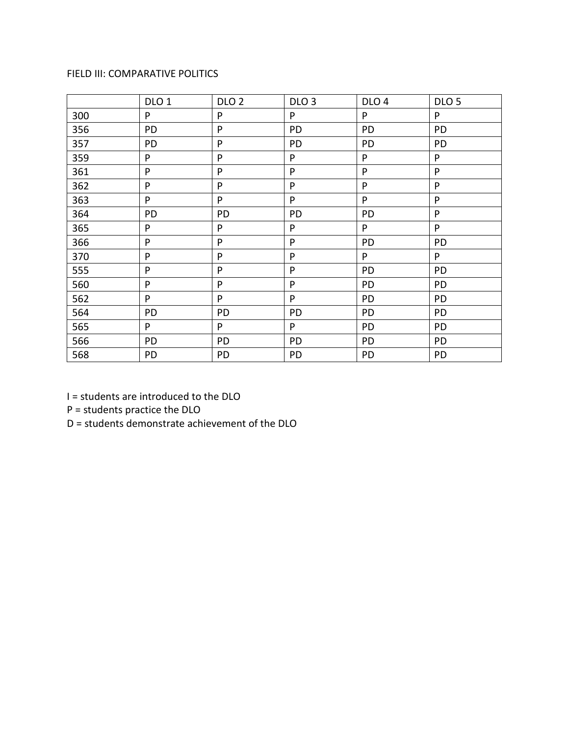# FIELD III: COMPARATIVE POLITICS

|     | DLO <sub>1</sub> | DLO <sub>2</sub> | DLO <sub>3</sub> | DLO <sub>4</sub> | DLO <sub>5</sub> |
|-----|------------------|------------------|------------------|------------------|------------------|
| 300 | P                | P                | P                | P                | P                |
| 356 | PD               | P                | PD               | PD               | PD               |
| 357 | PD               | P                | PD               | PD               | PD               |
| 359 | P                | P                | P                | P                | P                |
| 361 | P                | P                | P                | P                | ${\sf P}$        |
| 362 | P                | P                | P                | P                | P                |
| 363 | P                | P                | P                | P                | P                |
| 364 | PD               | PD               | PD               | PD               | P                |
| 365 | P                | P                | P                | P                | P                |
| 366 | P                | P                | P                | PD               | PD               |
| 370 | P                | P                | P                | P                | P                |
| 555 | P                | P                | P                | PD               | PD               |
| 560 | ${\sf P}$        | P                | P                | PD               | PD               |
| 562 | P                | P                | P                | PD               | PD               |
| 564 | PD               | PD               | PD               | PD               | PD               |
| 565 | P                | P                | P                | PD               | PD               |
| 566 | PD               | PD               | PD               | PD               | PD               |
| 568 | PD               | PD               | PD               | PD               | PD               |

I = students are introduced to the DLO

P = students practice the DLO